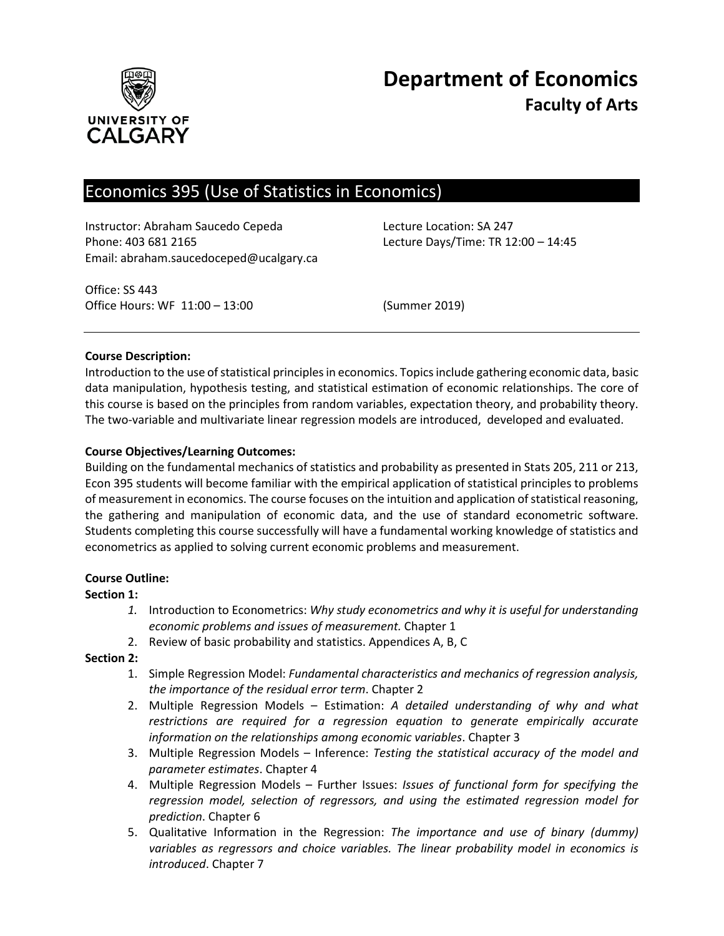

# **Department of Economics Faculty of Arts**

# Economics 395 (Use of Statistics in Economics)

Instructor: Abraham Saucedo Cepeda Lecture Location: SA 247 Phone: 403 681 2165 Lecture Days/Time: TR 12:00 – 14:45 Email: abraham.saucedoceped@ucalgary.ca

Office: SS 443 Office Hours: WF 11:00 – 13:00 (Summer 2019)

# **Course Description:**

Introduction to the use of statistical principles in economics. Topics include gathering economic data, basic data manipulation, hypothesis testing, and statistical estimation of economic relationships. The core of this course is based on the principles from random variables, expectation theory, and probability theory. The two-variable and multivariate linear regression models are introduced, developed and evaluated.

# **Course Objectives/Learning Outcomes:**

Building on the fundamental mechanics of statistics and probability as presented in Stats 205, 211 or 213, Econ 395 students will become familiar with the empirical application of statistical principles to problems of measurement in economics. The course focuses on the intuition and application of statistical reasoning, the gathering and manipulation of economic data, and the use of standard econometric software. Students completing this course successfully will have a fundamental working knowledge of statistics and econometrics as applied to solving current economic problems and measurement.

# **Course Outline:**

# **Section 1:**

- *1.* Introduction to Econometrics: *Why study econometrics and why it is useful for understanding economic problems and issues of measurement.* Chapter 1
- 2. Review of basic probability and statistics. Appendices A, B, C

# **Section 2:**

- 1. Simple Regression Model: *Fundamental characteristics and mechanics of regression analysis, the importance of the residual error term*. Chapter 2
- 2. Multiple Regression Models Estimation: *A detailed understanding of why and what restrictions are required for a regression equation to generate empirically accurate information on the relationships among economic variables*. Chapter 3
- 3. Multiple Regression Models Inference: *Testing the statistical accuracy of the model and parameter estimates*. Chapter 4
- 4. Multiple Regression Models Further Issues: *Issues of functional form for specifying the regression model, selection of regressors, and using the estimated regression model for prediction*. Chapter 6
- 5. Qualitative Information in the Regression: *The importance and use of binary (dummy) variables as regressors and choice variables. The linear probability model in economics is introduced*. Chapter 7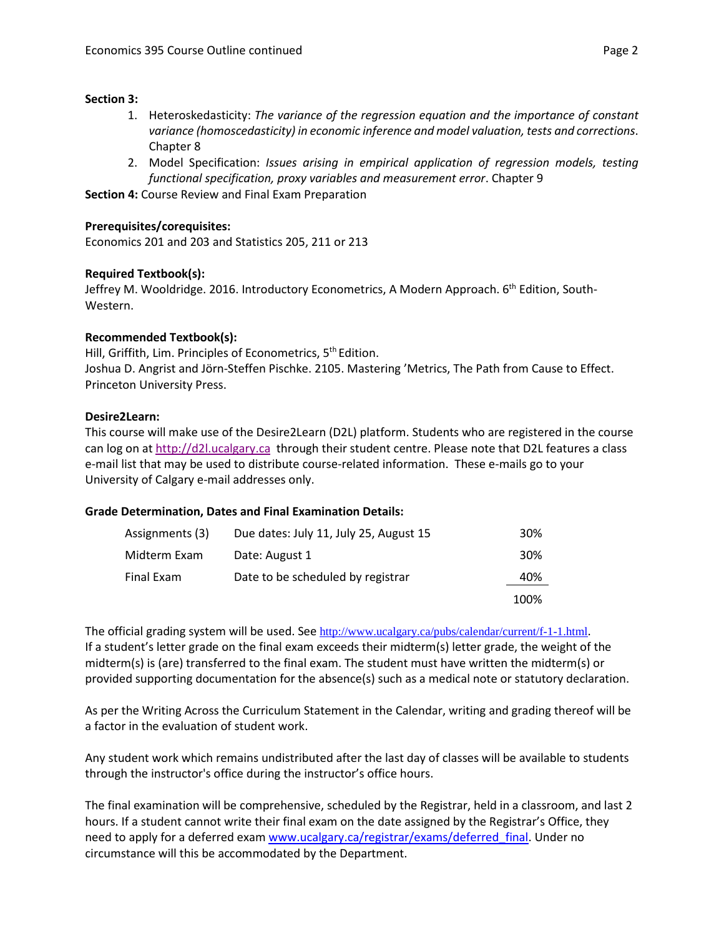### **Section 3:**

- 1. Heteroskedasticity: *The variance of the regression equation and the importance of constant variance (homoscedasticity) in economic inference and model valuation, tests and corrections*. Chapter 8
- 2. Model Specification: *Issues arising in empirical application of regression models, testing functional specification, proxy variables and measurement error*. Chapter 9

**Section 4:** Course Review and Final Exam Preparation

#### **Prerequisites/corequisites:**

Economics 201 and 203 and Statistics 205, 211 or 213

#### **Required Textbook(s):**

Jeffrey M. Wooldridge. 2016. Introductory Econometrics, A Modern Approach. 6<sup>th</sup> Edition, South-Western.

#### **Recommended Textbook(s):**

Hill, Griffith, Lim. Principles of Econometrics, 5<sup>th</sup> Edition. Joshua D. Angrist and Jörn-Steffen Pischke. 2105. Mastering 'Metrics, The Path from Cause to Effect. Princeton University Press.

# **Desire2Learn:**

This course will make use of the Desire2Learn (D2L) platform. Students who are registered in the course can log on a[t http://d2l.ucalgary.ca](http://d2l.ucalgary.ca/) through their student centre. Please note that D2L features a class e-mail list that may be used to distribute course-related information. These e-mails go to your University of Calgary e-mail addresses only.

#### **Grade Determination, Dates and Final Examination Details:**

|                 |                                        | 100% |
|-----------------|----------------------------------------|------|
| Final Exam      | Date to be scheduled by registrar      | 40%  |
| Midterm Exam    | Date: August 1                         | 30%  |
| Assignments (3) | Due dates: July 11, July 25, August 15 | 30%  |

The official grading system will be used. See <http://www.ucalgary.ca/pubs/calendar/current/f-1-1.html>. If a student's letter grade on the final exam exceeds their midterm(s) letter grade, the weight of the midterm(s) is (are) transferred to the final exam. The student must have written the midterm(s) or provided supporting documentation for the absence(s) such as a medical note or statutory declaration.

As per the Writing Across the Curriculum Statement in the Calendar, writing and grading thereof will be a factor in the evaluation of student work.

Any student work which remains undistributed after the last day of classes will be available to students through the instructor's office during the instructor's office hours.

The final examination will be comprehensive, scheduled by the Registrar, held in a classroom, and last 2 hours. If a student cannot write their final exam on the date assigned by the Registrar's Office, they need to apply for a deferred exam [www.ucalgary.ca/registrar/exams/deferred\\_final.](http://www.ucalgary.ca/registrar/exams/deferred_final) Under no circumstance will this be accommodated by the Department.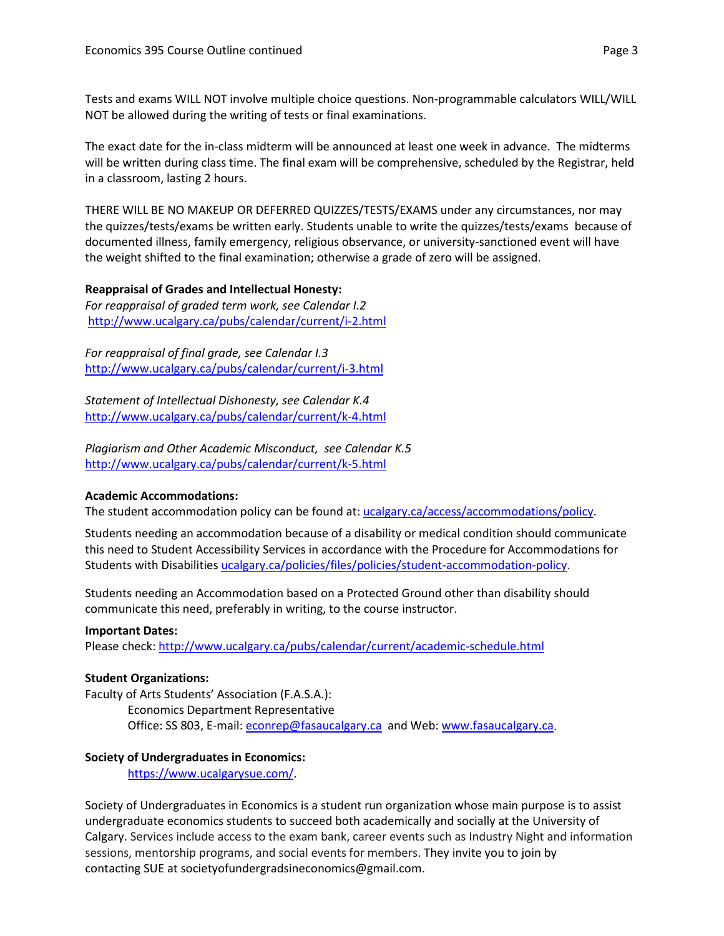Tests and exams WILL NOT involve multiple choice questions. Non-programmable calculators WILL/WILL NOT be allowed during the writing of tests or final examinations.

The exact date for the in-class midterm will be announced at least one week in advance. The midterms will be written during class time. The final exam will be comprehensive, scheduled by the Registrar, held in a classroom, lasting 2 hours.

THERE WILL BE NO MAKEUP OR DEFERRED QUIZZES/TESTS/EXAMS under any circumstances, nor may the quizzes/tests/exams be written early. Students unable to write the quizzes/tests/exams because of documented illness, family emergency, religious observance, or university-sanctioned event will have the weight shifted to the final examination; otherwise a grade of zero will be assigned.

#### **Reappraisal of Grades and Intellectual Honesty:**

*For reappraisal of graded term work, see Calendar I.2* <http://www.ucalgary.ca/pubs/calendar/current/i-2.html>

*For reappraisal of final grade, see Calendar I.3* <http://www.ucalgary.ca/pubs/calendar/current/i-3.html>

*Statement of Intellectual Dishonesty, see Calendar K.4* <http://www.ucalgary.ca/pubs/calendar/current/k-4.html>

*Plagiarism and Other Academic Misconduct, see Calendar K.5* <http://www.ucalgary.ca/pubs/calendar/current/k-5.html>

#### **Academic Accommodations:**

The student accommodation policy can be found at: [ucalgary.ca/access/accommodations/policy.](http://www.ucalgary.ca/access/accommodations/policy)

Students needing an accommodation because of a disability or medical condition should communicate this need to Student Accessibility Services in accordance with the Procedure for Accommodations for Students with Disabilities [ucalgary.ca/policies/files/policies/student-accommodation-policy.](http://www.ucalgary.ca/policies/files/policies/student-accommodation-policy.pdf)

Students needing an Accommodation based on a Protected Ground other than disability should communicate this need, preferably in writing, to the course instructor.

#### **Important Dates:**

Please check:<http://www.ucalgary.ca/pubs/calendar/current/academic-schedule.html>

#### **Student Organizations:**

Faculty of Arts Students' Association (F.A.S.A.): Economics Department Representative Office: SS 803, E-mail: [econrep@fasaucalgary.ca](mailto:econrep@fasaucalgary.ca) and Web[: www.fasaucalgary.ca.](http://www.fasaucalgary.ca/)

#### **Society of Undergraduates in Economics:**

[https://www.ucalgarysue.com/.](https://www.ucalgarysue.com/)

Society of Undergraduates in Economics is a student run organization whose main purpose is to assist undergraduate economics students to succeed both academically and socially at the University of Calgary. Services include access to the exam bank, career events such as Industry Night and information sessions, mentorship programs, and social events for members. They invite you to join by contacting SUE at societyofundergradsineconomics@gmail.com.